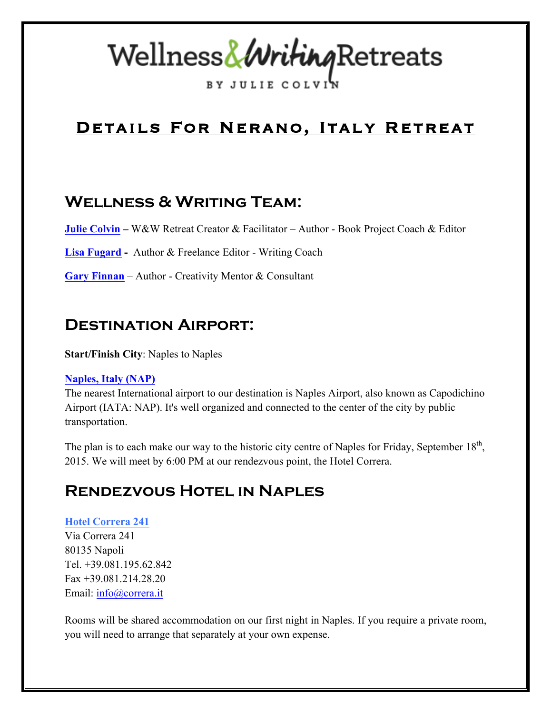# Wellness&WritingRetreats

**RY JULIE COL** 

# Details For Nerano, Italy Retreat

#### **Wellness & Writing Team:**

**Julie Colvin –** W&W Retreat Creator & Facilitator – Author - Book Project Coach & Editor

**Lisa Fugard -** Author & Freelance Editor - Writing Coach

**Gary Finnan** – Author - Creativity Mentor & Consultant

#### **Destination Airport:**

**Start/Finish City**: Naples to Naples

#### **Naples, Italy (NAP)**

The nearest International airport to our destination is Naples Airport, also known as Capodichino Airport (IATA: NAP). It's well organized and connected to the center of the city by public transportation.

The plan is to each make our way to the historic city centre of Naples for Friday, September  $18<sup>th</sup>$ , 2015. We will meet by 6:00 PM at our rendezvous point, the Hotel Correra.

## **Rendezvous Hotel in Naples**

#### **Hotel Correra 241**

Via Correra 241 80135 Napoli Tel. +39.081.195.62.842 Fax +39.081.214.28.20 Email: info@correra.it

Rooms will be shared accommodation on our first night in Naples. If you require a private room, you will need to arrange that separately at your own expense.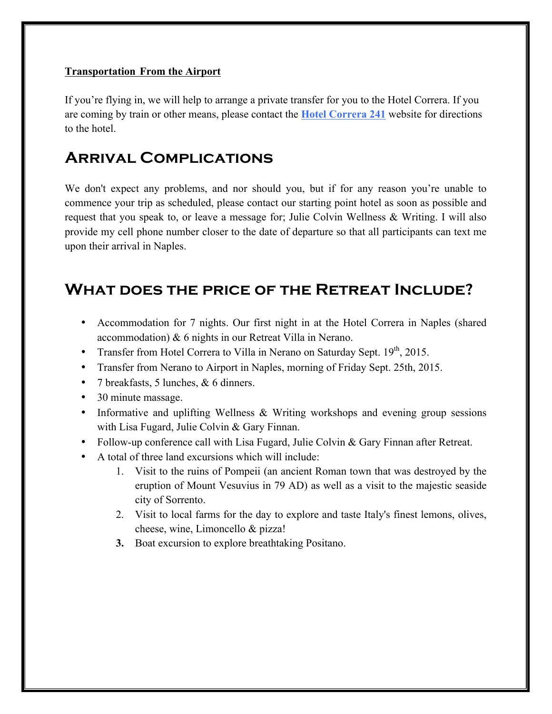#### **Transportation From the Airport**

If you're flying in, we will help to arrange a private transfer for you to the Hotel Correra. If you are coming by train or other means, please contact the **Hotel Correra 241** website for directions to the hotel.

#### **Arrival Complications**

We don't expect any problems, and nor should you, but if for any reason you're unable to commence your trip as scheduled, please contact our starting point hotel as soon as possible and request that you speak to, or leave a message for; Julie Colvin Wellness & Writing. I will also provide my cell phone number closer to the date of departure so that all participants can text me upon their arrival in Naples.

#### **What does the price of the Retreat Include?**

- Accommodation for 7 nights. Our first night in at the Hotel Correra in Naples (shared accommodation) & 6 nights in our Retreat Villa in Nerano.
- Transfer from Hotel Correra to Villa in Nerano on Saturday Sept.  $19<sup>th</sup>$ , 2015.
- Transfer from Nerano to Airport in Naples, morning of Friday Sept. 25th, 2015.
- 7 breakfasts, 5 lunches, & 6 dinners.
- 30 minute massage.
- Informative and uplifting Wellness & Writing workshops and evening group sessions with Lisa Fugard, Julie Colvin & Gary Finnan.
- Follow-up conference call with Lisa Fugard, Julie Colvin & Gary Finnan after Retreat.
- A total of three land excursions which will include:
	- 1. Visit to the ruins of Pompeii (an ancient Roman town that was destroyed by the eruption of Mount Vesuvius in 79 AD) as well as a visit to the majestic seaside city of Sorrento.
	- 2. Visit to local farms for the day to explore and taste Italy's finest lemons, olives, cheese, wine, Limoncello & pizza!
	- **3.** Boat excursion to explore breathtaking Positano.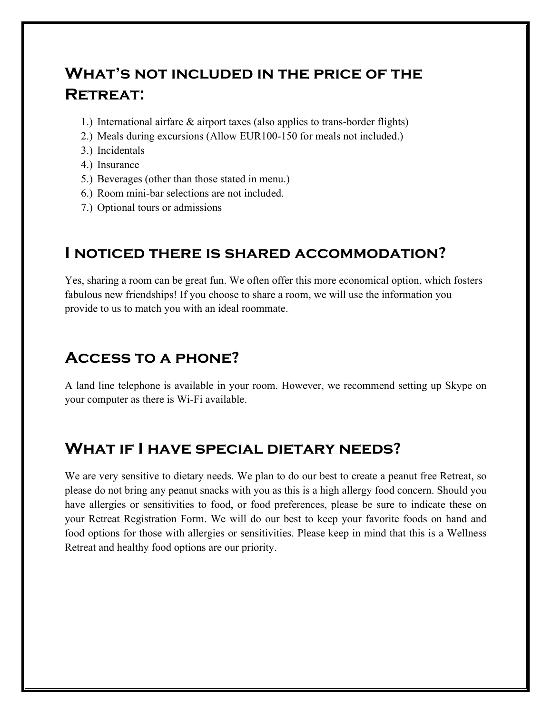# **What's not included in the price of the Retreat:**

- 1.) International airfare & airport taxes (also applies to trans-border flights)
- 2.) Meals during excursions (Allow EUR100-150 for meals not included.)
- 3.) Incidentals
- 4.) Insurance
- 5.) Beverages (other than those stated in menu.)
- 6.) Room mini-bar selections are not included.
- 7.) Optional tours or admissions

#### **I noticed there is shared accommodation?**

Yes, sharing a room can be great fun. We often offer this more economical option, which fosters fabulous new friendships! If you choose to share a room, we will use the information you provide to us to match you with an ideal roommate.

## **Access to a phone?**

A land line telephone is available in your room. However, we recommend setting up Skype on your computer as there is Wi-Fi available.

#### **What if I have special dietary needs?**

We are very sensitive to dietary needs. We plan to do our best to create a peanut free Retreat, so please do not bring any peanut snacks with you as this is a high allergy food concern. Should you have allergies or sensitivities to food, or food preferences, please be sure to indicate these on your Retreat Registration Form. We will do our best to keep your favorite foods on hand and food options for those with allergies or sensitivities. Please keep in mind that this is a Wellness Retreat and healthy food options are our priority.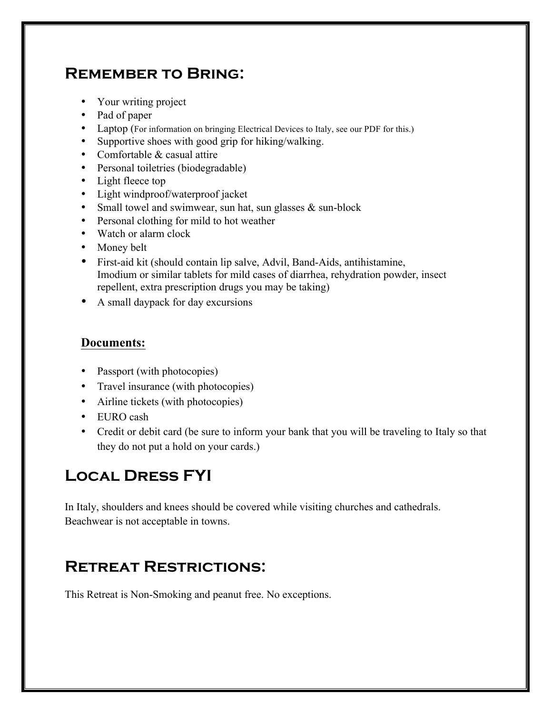## **Remember to Bring:**

- Your writing project
- Pad of paper
- Laptop (For information on bringing Electrical Devices to Italy, see our PDF for this.)
- Supportive shoes with good grip for hiking/walking.
- Comfortable & casual attire
- Personal toiletries (biodegradable)
- Light fleece top
- Light windproof/waterproof jacket
- Small towel and swimwear, sun hat, sun glasses & sun-block
- Personal clothing for mild to hot weather
- Watch or alarm clock
- Money belt
- First-aid kit (should contain lip salve, Advil, Band-Aids, antihistamine, Imodium or similar tablets for mild cases of diarrhea, rehydration powder, insect repellent, extra prescription drugs you may be taking)
- A small daypack for day excursions

#### **Documents:**

- Passport (with photocopies)
- Travel insurance (with photocopies)
- Airline tickets (with photocopies)
- EURO cash
- Credit or debit card (be sure to inform your bank that you will be traveling to Italy so that they do not put a hold on your cards.)

# **Local Dress FYI**

In Italy, shoulders and knees should be covered while visiting churches and cathedrals. Beachwear is not acceptable in towns.

## **Retreat Restrictions:**

This Retreat is Non-Smoking and peanut free. No exceptions.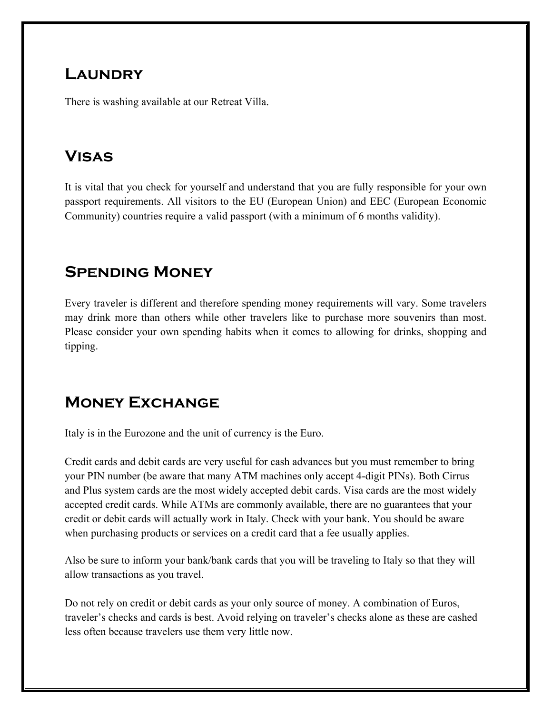#### **Laundry**

There is washing available at our Retreat Villa.

# **Visas**

It is vital that you check for yourself and understand that you are fully responsible for your own passport requirements. All visitors to the EU (European Union) and EEC (European Economic Community) countries require a valid passport (with a minimum of 6 months validity).

# **Spending Money**

Every traveler is different and therefore spending money requirements will vary. Some travelers may drink more than others while other travelers like to purchase more souvenirs than most. Please consider your own spending habits when it comes to allowing for drinks, shopping and tipping.

# **Money Exchange**

Italy is in the Eurozone and the unit of currency is the Euro.

Credit cards and debit cards are very useful for cash advances but you must remember to bring your PIN number (be aware that many ATM machines only accept 4-digit PINs). Both Cirrus and Plus system cards are the most widely accepted debit cards. Visa cards are the most widely accepted credit cards. While ATMs are commonly available, there are no guarantees that your credit or debit cards will actually work in Italy. Check with your bank. You should be aware when purchasing products or services on a credit card that a fee usually applies.

Also be sure to inform your bank/bank cards that you will be traveling to Italy so that they will allow transactions as you travel.

Do not rely on credit or debit cards as your only source of money. A combination of Euros, traveler's checks and cards is best. Avoid relying on traveler's checks alone as these are cashed less often because travelers use them very little now.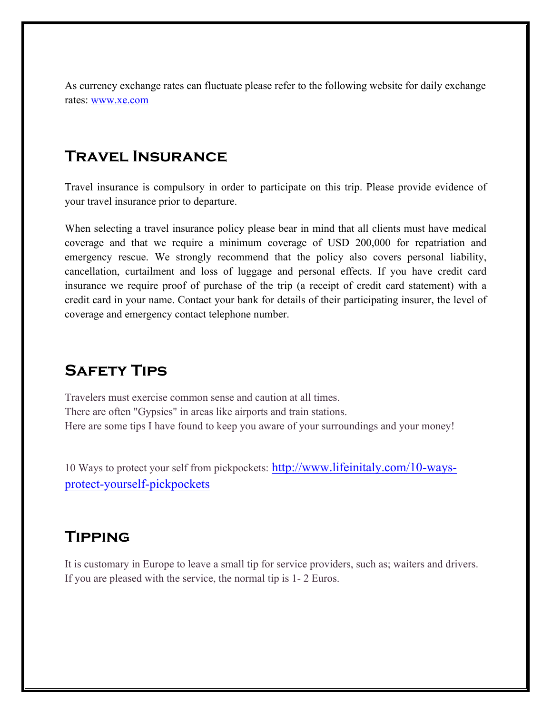As currency exchange rates can fluctuate please refer to the following website for daily exchange rates: www.xe.com

#### **Travel Insurance**

Travel insurance is compulsory in order to participate on this trip. Please provide evidence of your travel insurance prior to departure.

When selecting a travel insurance policy please bear in mind that all clients must have medical coverage and that we require a minimum coverage of USD 200,000 for repatriation and emergency rescue. We strongly recommend that the policy also covers personal liability, cancellation, curtailment and loss of luggage and personal effects. If you have credit card insurance we require proof of purchase of the trip (a receipt of credit card statement) with a credit card in your name. Contact your bank for details of their participating insurer, the level of coverage and emergency contact telephone number.

#### **Safety Tips**

Travelers must exercise common sense and caution at all times. There are often "Gypsies" in areas like airports and train stations. Here are some tips I have found to keep you aware of your surroundings and your money!

10 Ways to protect your self from pickpockets: http://www.lifeinitaly.com/10-waysprotect-yourself-pickpockets

# **Tipping**

It is customary in Europe to leave a small tip for service providers, such as; waiters and drivers. If you are pleased with the service, the normal tip is 1- 2 Euros.